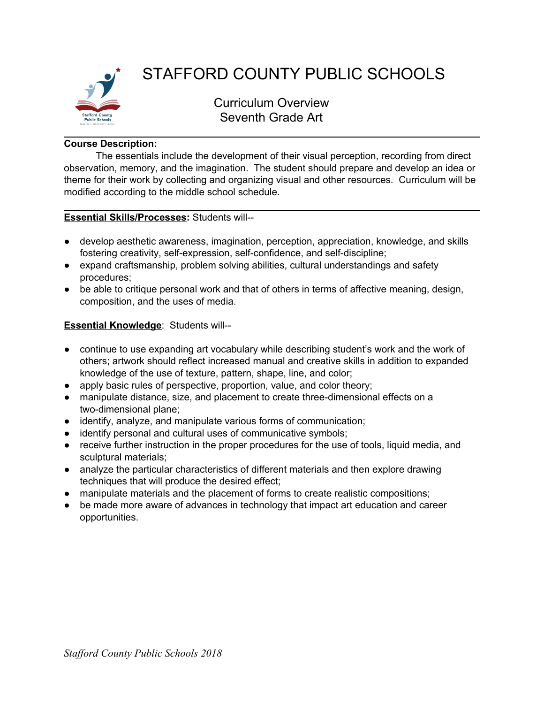

# STAFFORD COUNTY PUBLIC SCHOOLS

Curriculum Overview Seventh Grade Art

## **Course Description:**

The essentials include the development of their visual perception, recording from direct observation, memory, and the imagination. The student should prepare and develop an idea or theme for their work by collecting and organizing visual and other resources. Curriculum will be modified according to the middle school schedule.

### **Essential Skills/Processes:** Students will--

- develop aesthetic awareness, imagination, perception, appreciation, knowledge, and skills fostering creativity, self-expression, self-confidence, and self-discipline;
- expand craftsmanship, problem solving abilities, cultural understandings and safety procedures;
- be able to critique personal work and that of others in terms of affective meaning, design, composition, and the uses of media.

# **Essential Knowledge**: Students will--

- continue to use expanding art vocabulary while describing student's work and the work of others; artwork should reflect increased manual and creative skills in addition to expanded knowledge of the use of texture, pattern, shape, line, and color;
- apply basic rules of perspective, proportion, value, and color theory;
- manipulate distance, size, and placement to create three-dimensional effects on a two-dimensional plane;
- identify, analyze, and manipulate various forms of communication;
- identify personal and cultural uses of communicative symbols;
- receive further instruction in the proper procedures for the use of tools, liquid media, and sculptural materials;
- analyze the particular characteristics of different materials and then explore drawing techniques that will produce the desired effect;
- manipulate materials and the placement of forms to create realistic compositions;
- be made more aware of advances in technology that impact art education and career opportunities.